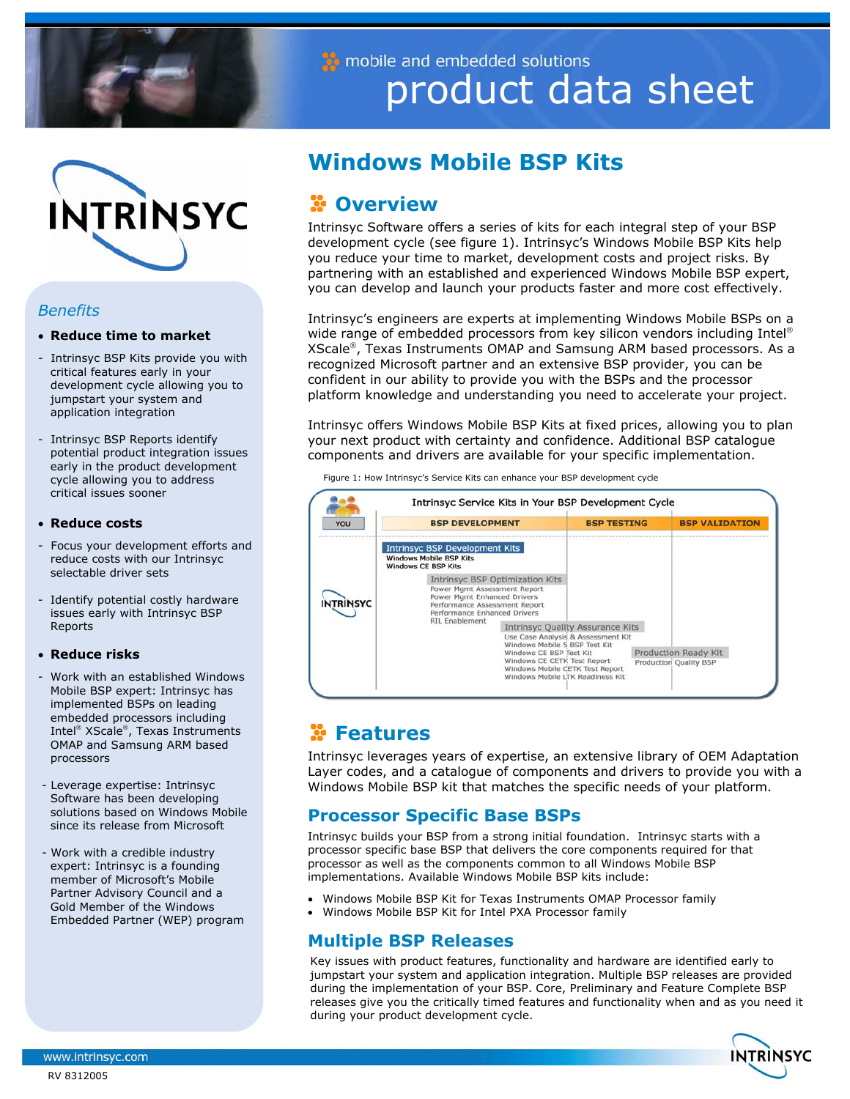

mobile and embedded solutions product data sheet



## *Benefits*

## • **Reduce time to market**

- Intrinsyc BSP Kits provide you with critical features early in your development cycle allowing you to jumpstart your system and application integration
- Intrinsyc BSP Reports identify potential product integration issues early in the product development cycle allowing you to address critical issues sooner

## • **Reduce costs**

- Focus your development efforts and reduce costs with our Intrinsyc selectable driver sets
- Identify potential costly hardware issues early with Intrinsyc BSP Reports

### • **Reduce risks**

- Work with an established Windows Mobile BSP expert: Intrinsyc has implemented BSPs on leading embedded processors including Intel<sup>®</sup> XScale<sup>®</sup>, Texas Instruments OMAP and Samsung ARM based processors
- Leverage expertise: Intrinsyc Software has been developing solutions based on Windows Mobile since its release from Microsoft
- Work with a credible industry expert: Intrinsyc is a founding member of Microsoft's Mobile Partner Advisory Council and a Gold Member of the Windows Embedded Partner (WEP) program

# **Windows Mobile BSP Kits**

# *C* Overview

 partnering with an established and experienced Windows Mobile BSP expert, Intrinsyc Software offers a series of kits for each integral step of your BSP development cycle (see figure 1). Intrinsyc's Windows Mobile BSP Kits help you reduce your time to market, development costs and project risks. By you can develop and launch your products faster and more cost effectively.

Intrinsyc's engineers are experts at implementing Windows Mobile BSPs on a wide range of embedded processors from key silicon vendors including Intel® XScale®, Texas Instruments OMAP and Samsung ARM based processors. As a recognized Microsoft partner and an extensive BSP provider, you can be confident in our ability to provide you with the BSPs and the processor platform knowledge and understanding you need to accelerate your project.

Intrinsyc offers Windows Mobile BSP Kits at fixed prices, allowing you to plan your next product with certainty and confidence. Additional BSP catalogue components and drivers are available for your specific implementation.

| YOU              | <b>BSP DEVELOPMENT</b>                                                                                                                                                                  | <b>BSP TESTING</b>                                                            | <b>BSP VALIDATION</b>                          |
|------------------|-----------------------------------------------------------------------------------------------------------------------------------------------------------------------------------------|-------------------------------------------------------------------------------|------------------------------------------------|
| <b>INTRINSYC</b> | <b>Intrinsyc BSP Development Kits</b><br><b>Windows Mobile BSP Kits</b><br><b>Windows CE BSP Kits</b>                                                                                   |                                                                               |                                                |
|                  | Intrinsyc BSP Optimization Kits<br>Power Mgmt Assessment Report<br>Power Mamt Enhanced Drivers<br>Performance Assessment Report<br>Performance Enhanced Drivers                         |                                                                               |                                                |
|                  | <b>RIL Enablement</b><br>Windows Mobile 5 BSP Test Kit<br>Windows CE BSP Test Kit<br>Windows CE CETK Test Report<br>Windows Mobile CETK Test Report<br>Windows Mobile LTK Readiness Kit | <b>Intrinsyc Quality Assurance Kits</b><br>Use Case Analysis & Assessment Kit | Production Ready Kit<br>Production Quality BSP |

Figure 1: How Intrinsyc's Service Kits can enhance your BSP development cycle

# **Features**

Intrinsyc leverages years of expertise, an extensive library of OEM Adaptation Layer codes, and a catalogue of components and drivers to provide you with a Windows Mobile BSP kit that matches the specific needs of your platform.

# **Processor Specific Base BSPs**

Intrinsyc builds your BSP from a strong initial foundation. Intrinsyc starts with a processor specific base BSP that delivers the core components required for that processor as well as the components common to all Windows Mobile BSP implementations. Available Windows Mobile BSP kits include:

- Windows Mobile BSP Kit for Texas Instruments OMAP Processor family
- Windows Mobile BSP Kit for Intel PXA Processor family

# **Multiple BSP Releases**

Key issues with product features, functionality and hardware are identified early to jumpstart your system and application integration. Multiple BSP releases are provided during the implementation of your BSP. Core, Preliminary and Feature Complete BSP releases give you the critically timed features and functionality when and as you need it during your product development cycle.